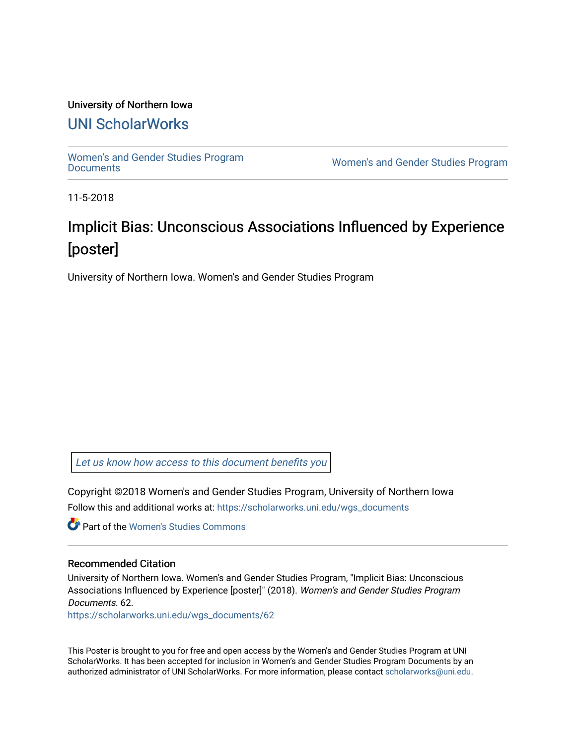### University of Northern Iowa

## [UNI ScholarWorks](https://scholarworks.uni.edu/)

[Women's and Gender Studies Program](https://scholarworks.uni.edu/wgs_documents)<br>Documents

Women's and Gender Studies Program

11-5-2018

# Implicit Bias: Unconscious Associations Influenced by Experience [poster]

University of Northern Iowa. Women's and Gender Studies Program

[Let us know how access to this document benefits you](https://scholarworks.uni.edu/feedback_form.html) 

Copyright ©2018 Women's and Gender Studies Program, University of Northern Iowa Follow this and additional works at: [https://scholarworks.uni.edu/wgs\\_documents](https://scholarworks.uni.edu/wgs_documents?utm_source=scholarworks.uni.edu%2Fwgs_documents%2F62&utm_medium=PDF&utm_campaign=PDFCoverPages)

**C** Part of the Women's Studies Commons

#### Recommended Citation

University of Northern Iowa. Women's and Gender Studies Program, "Implicit Bias: Unconscious Associations Influenced by Experience [poster]" (2018). Women's and Gender Studies Program Documents. 62.

[https://scholarworks.uni.edu/wgs\\_documents/62](https://scholarworks.uni.edu/wgs_documents/62?utm_source=scholarworks.uni.edu%2Fwgs_documents%2F62&utm_medium=PDF&utm_campaign=PDFCoverPages) 

This Poster is brought to you for free and open access by the Women's and Gender Studies Program at UNI ScholarWorks. It has been accepted for inclusion in Women's and Gender Studies Program Documents by an authorized administrator of UNI ScholarWorks. For more information, please contact [scholarworks@uni.edu.](mailto:scholarworks@uni.edu)